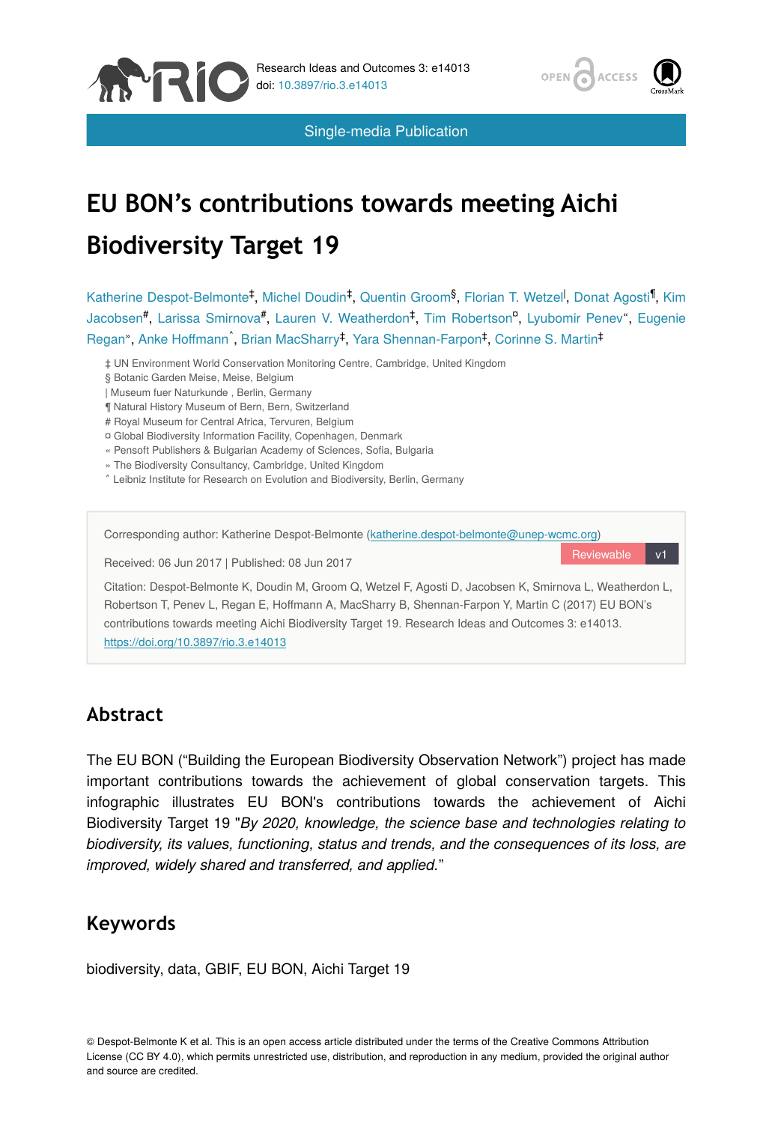



Single-media Publication

# **EU BON's contributions towards meeting Aichi Biodiversity Target 19**

Katherine Despot-Belmonte<sup>‡</sup>, Michel Doudin<sup>‡</sup>, Quentin Groom<sup>§</sup>, Florian T. Wetzel<sup>l</sup>, Donat Agosti<sup>1</sup>, Kim Jacobsen#, Larissa Smirnova#, Lauren V. Weatherdon<sup>‡</sup>, Tim Robertson<sup>a</sup>, Lyubomir Penev", Eugenie Regan", Anke Hoffmann<sup>^</sup>, Brian MacSharry<sup>‡</sup>, Yara Shennan-Farpon<sup>‡</sup>, Corinne S. Martin<sup>‡</sup>

‡ UN Environment World Conservation Monitoring Centre, Cambridge, United Kingdom

- § Botanic Garden Meise, Meise, Belgium
- | Museum fuer Naturkunde , Berlin, Germany
- ¶ Natural History Museum of Bern, Bern, Switzerland
- # Royal Museum for Central Africa, Tervuren, Belgium
- ¤ Global Biodiversity Information Facility, Copenhagen, Denmark
- « Pensoft Publishers & Bulgarian Academy of Sciences, Sofia, Bulgaria
- » The Biodiversity Consultancy, Cambridge, United Kingdom
- ˄ Leibniz Institute for Research on Evolution and Biodiversity, Berlin, Germany

Corresponding author: Katherine Despot-Belmonte [\(katherine.despot-belmonte@unep-wcmc.org\)](mailto:katherine.despot-belmonte@unep-wcmc.org)

Received: 06 Jun 2017 | Published: 08 Jun 2017

Reviewable

Citation: Despot-Belmonte K, Doudin M, Groom Q, Wetzel F, Agosti D, Jacobsen K, Smirnova L, Weatherdon L, Robertson T, Penev L, Regan E, Hoffmann A, MacSharry B, Shennan-Farpon Y, Martin C (2017) EU BON's contributions towards meeting Aichi Biodiversity Target 19. Research Ideas and Outcomes 3: e14013. <https://doi.org/10.3897/rio.3.e14013>

# **Abstract**

The EU BON ("Building the European Biodiversity Observation Network") project has made important contributions towards the achievement of global conservation targets. This infographic illustrates EU BON's contributions towards the achievement of Aichi Biodiversity Target 19 "*By 2020, knowledge, the science base and technologies relating to biodiversity, its values, functioning, status and trends, and the consequences of its loss, are improved, widely shared and transferred, and applied.*"

# **Keywords**

biodiversity, data, GBIF, EU BON, Aichi Target 19

© Despot-Belmonte K et al. This is an open access article distributed under the terms of the Creative Commons Attribution License (CC BY 4.0), which permits unrestricted use, distribution, and reproduction in any medium, provided the original author and source are credited.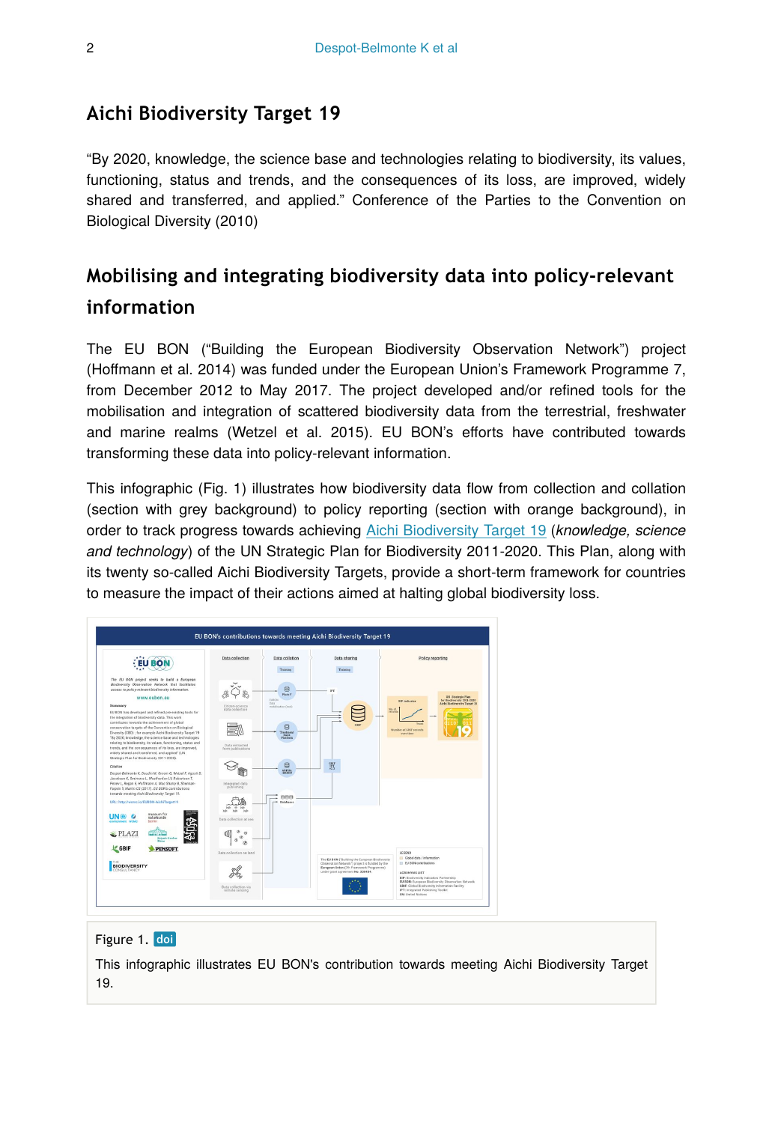## **Aichi Biodiversity Target 19**

"By 2020, knowledge, the science base and technologies relating to biodiversity, its values, functioning, status and trends, and the consequences of its loss, are improved, widely shared and transferred, and applied." Conference of the Parties to the Convention on Biological Diversity (2010)

# **Mobilising and integrating biodiversity data into policy-relevant information**

The EU BON ("Building the European Biodiversity Observation Network") project (Hoffmann et al. 2014) was funded under the European Union's Framework Programme 7, from December 2012 to May 2017. The project developed and/or refined tools for the mobilisation and integration of scattered biodiversity data from the terrestrial, freshwater and marine realms (Wetzel et al. 2015). EU BON's efforts have contributed towards transforming these data into policy-relevant information.

This infographic (Fig. 1) illustrates how biodiversity data flow from collection and collation (section with grey background) to policy reporting (section with orange background), in order to track progress towards achieving [Aichi Biodiversity Target 19](https://www.cbd.int/sp/targets/) (*knowledge, science and technology*) of the UN Strategic Plan for Biodiversity 2011-2020. This Plan, along with its twenty so-called Aichi Biodiversity Targets, provide a short-term framework for countries to measure the impact of their actions aimed at halting global biodiversity loss.



#### Figure 1. doi

This infographic illustrates EU BON's contribution towards meeting Aichi Biodiversity Target 19.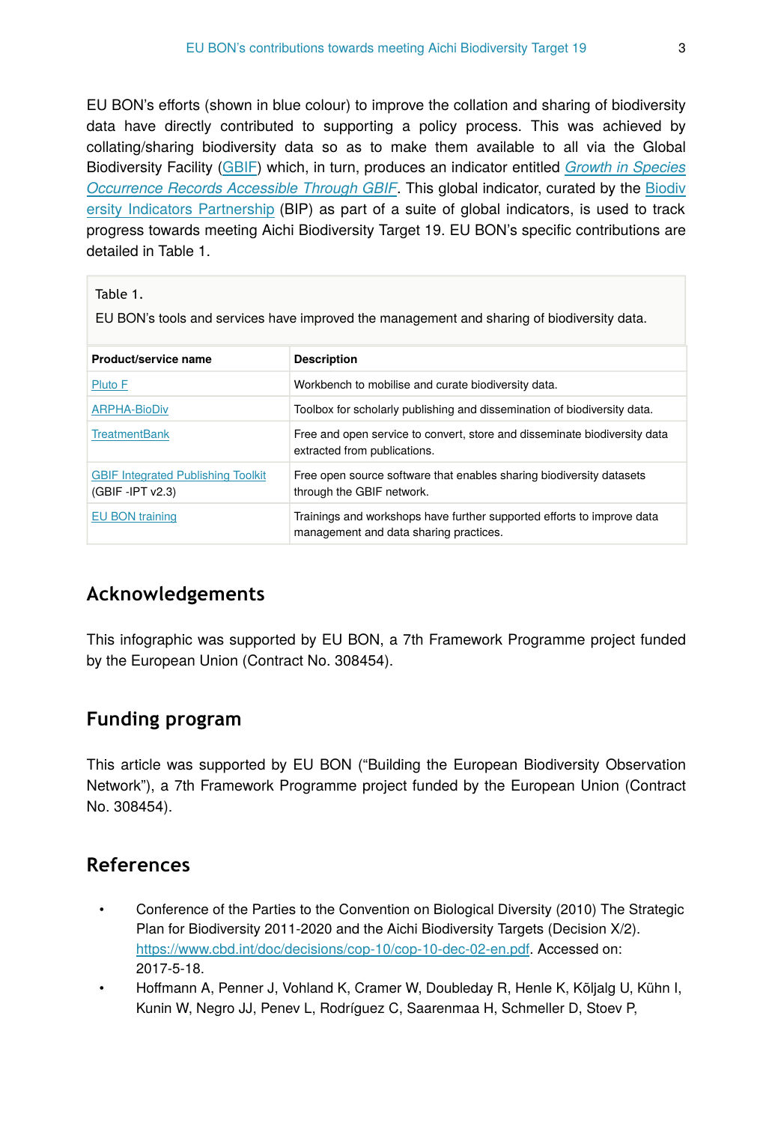EU BON's efforts (shown in blue colour) to improve the collation and sharing of biodiversity data have directly contributed to supporting a policy process. This was achieved by collating/sharing biodiversity data so as to make them available to all via the Global Biodiversity Facility ([GBIF\)](http://www.gbif.org/) which, in turn, produces an indicator entitled *[Growth in Species](https://www.bipindicators.net/indicators/growth-in-species-occurrence-records-accessible-through-gbif) [Occurrence Records Accessible Through GBIF](https://www.bipindicators.net/indicators/growth-in-species-occurrence-records-accessible-through-gbif)*. This global indicator, curated by the [Biodiv](https://www.bipindicators.net/) [ersity Indicators Partnership](https://www.bipindicators.net/) (BIP) as part of a suite of global indicators, is used to track progress towards meeting Aichi Biodiversity Target 19. EU BON's specific contributions are detailed in Table 1.

#### Table 1.

EU BON's tools and services have improved the management and sharing of biodiversity data.

| Product/service name                                             | <b>Description</b>                                                                                               |
|------------------------------------------------------------------|------------------------------------------------------------------------------------------------------------------|
| Pluto F                                                          | Workbench to mobilise and curate biodiversity data.                                                              |
| <b>ARPHA-BioDiv</b>                                              | Toolbox for scholarly publishing and dissemination of biodiversity data.                                         |
| <b>TreatmentBank</b>                                             | Free and open service to convert, store and disseminate biodiversity data<br>extracted from publications.        |
| <b>GBIF Integrated Publishing Toolkit</b><br>$(GBIF - IPT V2.3)$ | Free open source software that enables sharing biodiversity datasets<br>through the GBIF network.                |
| EU BON training                                                  | Trainings and workshops have further supported efforts to improve data<br>management and data sharing practices. |

# **Acknowledgements**

This infographic was supported by EU BON, a 7th Framework Programme project funded by the European Union (Contract No. 308454).

# **Funding program**

This article was supported by EU BON ("Building the European Biodiversity Observation Network"), a 7th Framework Programme project funded by the European Union (Contract No. 308454).

### **References**

- Conference of the Parties to the Convention on Biological Diversity (2010) The Strategic Plan for Biodiversity 2011-2020 and the Aichi Biodiversity Targets (Decision X/2). [https://www.cbd.int/doc/decisions/cop-10/cop-10-dec-02-en.pdf.](https://www.cbd.int/doc/decisions/cop-10/cop-10-dec-02-en.pdf) Accessed on: 2017-5-18.
- Hoffmann A, Penner J, Vohland K, Cramer W, Doubleday R, Henle K, Kõljalg U, Kühn I, Kunin W, Negro JJ, Penev L, Rodríguez C, Saarenmaa H, Schmeller D, Stoev P,